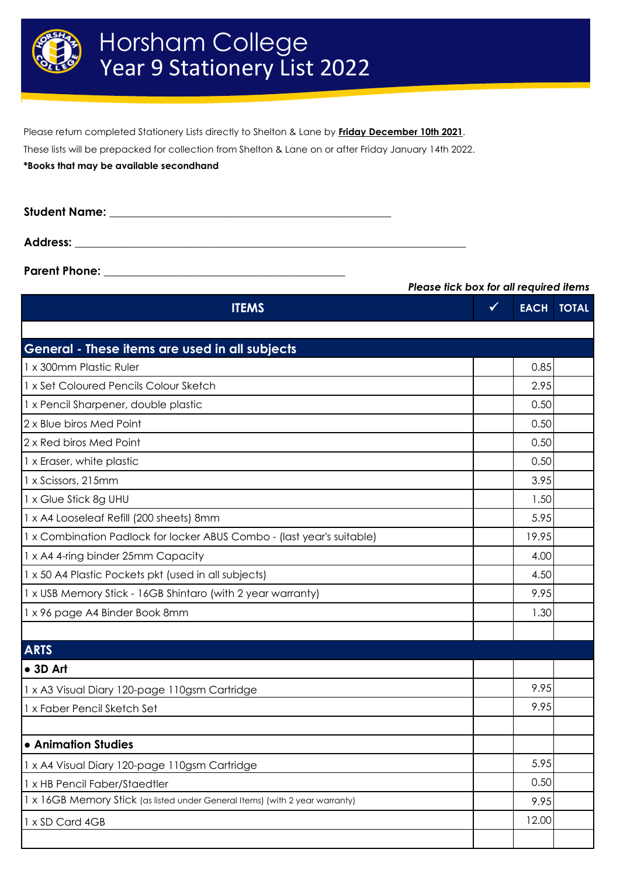

Please return completed Stationery Lists directly to Shelton & Lane by **Friday December 10th 2021**.

These lists will be prepacked for collection from Shelton & Lane on or after Friday January 14th 2022.

**\*Books that may be available secondhand**

| <b>Student Name:</b> |  |
|----------------------|--|
|                      |  |
| <b>Address:</b>      |  |

**Parent Phone:** 

**ITEMS** ✓ **EACH TOTAL** 1 x 300mm Plastic Ruler 0.85 1 x Set Coloured Pencils Colour Sketch 2.95 1 x Pencil Sharpener, double plastic and the control of the control of the control of the control of the control of the control of the control of the control of the control of the control of the control of the control of t 2 x Blue biros Med Point 0.50 2 x Red biros Med Point 0.50 1 x Eraser, white plastic 0.50 1 x Scissors, 215mm 3.95 1 x Glue Stick 8g UHU 1.50 1 x A4 Looseleaf Refill (200 sheets) 8mm 1 x Combination Padlock for locker ABUS Combo - (last year's suitable) 19.95 1 x A4 4-ring binder 25mm Capacity **4.00** 1 x 50 A4 Plastic Pockets pkt (used in all subjects) and the state of the state of the state of the 4.50 and  $\sim$ 1 x USB Memory Stick - 16GB Shintaro (with 2 year warranty) The Communisty Communisty Research Muslim Research 1 x 96 page A4 Binder Book 8mm 1.30 **● 3D Art** 1 x A3 Visual Diary 120-page 110gsm Cartridge 10.95 and 1.995 1 x Faber Pencil Sketch Set 9.95 **● Animation Studies** 1 x A4 Visual Diary 120-page 110gsm Cartridge 5.95 1 x HB Pencil Faber/Staedtler 0.50 1 x 16GB Memory Stick (as listed under General Items) (with 2 year warranty) 9.95 1 x SD Card 4GB 12.00 *Please tick box for all required items* **General - These items are used in all subjects ARTS**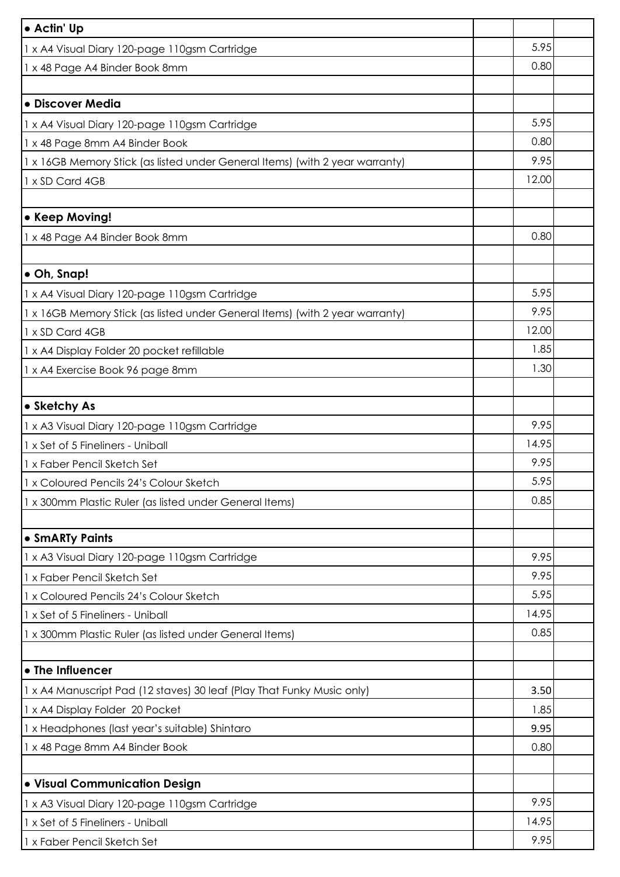| • Actin' Up                                                                  |              |  |
|------------------------------------------------------------------------------|--------------|--|
| 1 x A4 Visual Diary 120-page 110gsm Cartridge                                | 5.95         |  |
| 1 x 48 Page A4 Binder Book 8mm                                               | 0.80         |  |
|                                                                              |              |  |
| · Discover Media                                                             |              |  |
| 1 x A4 Visual Diary 120-page 110gsm Cartridge                                | 5.95         |  |
| 1 x 48 Page 8mm A4 Binder Book                                               | 0.80         |  |
| 1 x 16GB Memory Stick (as listed under General Items) (with 2 year warranty) | 9.95         |  |
| 1 x SD Card 4GB                                                              | 12.00        |  |
|                                                                              |              |  |
| • Keep Moving!                                                               |              |  |
| 1 x 48 Page A4 Binder Book 8mm                                               | 0.80         |  |
|                                                                              |              |  |
| • Oh, Snap!                                                                  |              |  |
| x A4 Visual Diary 120-page 110gsm Cartridge                                  | 5.95         |  |
| x 16GB Memory Stick (as listed under General Items) (with 2 year warranty)   | 9.95         |  |
| 1 x SD Card 4GB                                                              | 12.00        |  |
| 1 x A4 Display Folder 20 pocket refillable                                   | 1.85         |  |
| 1 x A4 Exercise Book 96 page 8mm                                             | 1.30         |  |
|                                                                              |              |  |
| • Sketchy As                                                                 |              |  |
| 1 x A3 Visual Diary 120-page 110gsm Cartridge                                | 9.95         |  |
| 1 x Set of 5 Fineliners - Uniball                                            | 14.95        |  |
| 1 x Faber Pencil Sketch Set                                                  | 9.95         |  |
| 1 x Coloured Pencils 24's Colour Sketch                                      | 5.95         |  |
| 1 x 300mm Plastic Ruler (as listed under General Items)                      | 0.85         |  |
|                                                                              |              |  |
| • SmARTy Paints                                                              |              |  |
| 1 x A3 Visual Diary 120-page 110gsm Cartridge                                | 9.95         |  |
| 1 x Faber Pencil Sketch Set                                                  | 9.95         |  |
| 1 x Coloured Pencils 24's Colour Sketch                                      | 5.95         |  |
| 1 x Set of 5 Fineliners - Uniball                                            | 14.95        |  |
| 1 x 300mm Plastic Ruler (as listed under General Items)                      | 0.85         |  |
| • The Influencer                                                             |              |  |
|                                                                              |              |  |
| 1 x A4 Manuscript Pad (12 staves) 30 leaf (Play That Funky Music only)       | 3.50         |  |
| 1 x A4 Display Folder 20 Pocket                                              | 1.85         |  |
| 1 x Headphones (last year's suitable) Shintaro                               | 9.95<br>0.80 |  |
| 1 x 48 Page 8mm A4 Binder Book                                               |              |  |
| · Visual Communication Design                                                |              |  |
| 1 x A3 Visual Diary 120-page 110gsm Cartridge                                | 9.95         |  |
| 1 x Set of 5 Fineliners - Uniball                                            | 14.95        |  |
| 1 x Faber Pencil Sketch Set                                                  | 9.95         |  |
|                                                                              |              |  |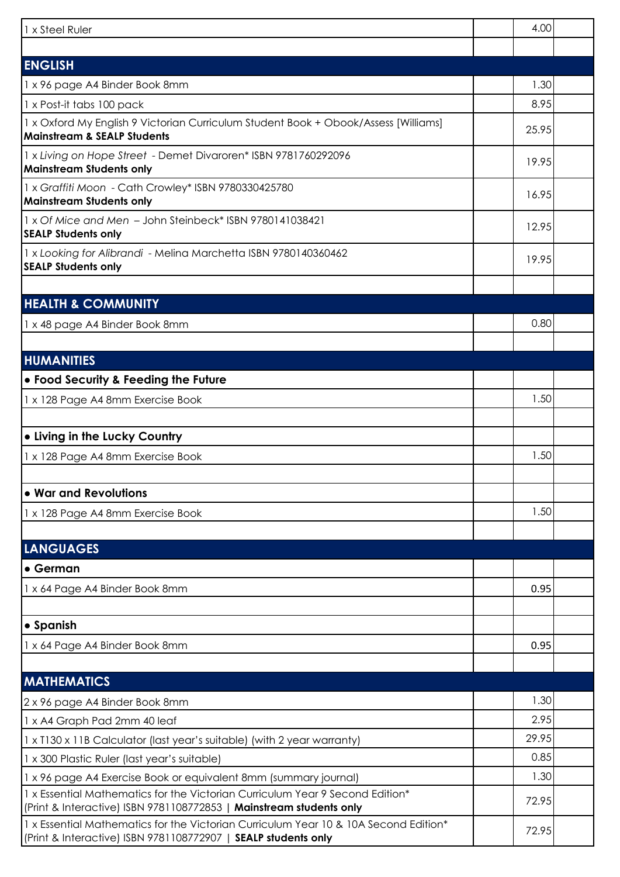| 1 x Steel Ruler                                                                                                                                        | 4.00  |  |
|--------------------------------------------------------------------------------------------------------------------------------------------------------|-------|--|
|                                                                                                                                                        |       |  |
| <b>ENGLISH</b><br>1 x 96 page A4 Binder Book 8mm                                                                                                       | 1.30  |  |
| 1 x Post-it tabs 100 pack                                                                                                                              | 8.95  |  |
| 1 x Oxford My English 9 Victorian Curriculum Student Book + Obook/Assess [Williams]                                                                    |       |  |
| <b>Mainstream &amp; SEALP Students</b>                                                                                                                 | 25.95 |  |
| 1 x Living on Hope Street - Demet Divaroren* ISBN 9781760292096<br><b>Mainstream Students only</b>                                                     | 19.95 |  |
| 1 x Graffiti Moon - Cath Crowley* ISBN 9780330425780<br><b>Mainstream Students only</b>                                                                | 16.95 |  |
| 1 x Of Mice and Men - John Steinbeck* ISBN 9780141038421<br><b>SEALP Students only</b>                                                                 | 12.95 |  |
| 1 x Looking for Alibrandi - Melina Marchetta ISBN 9780140360462<br><b>SEALP Students only</b>                                                          | 19.95 |  |
|                                                                                                                                                        |       |  |
| <b>HEALTH &amp; COMMUNITY</b>                                                                                                                          |       |  |
| 1 x 48 page A4 Binder Book 8mm                                                                                                                         | 0.80  |  |
|                                                                                                                                                        |       |  |
| <b>HUMANITIES</b>                                                                                                                                      |       |  |
| . Food Security & Feeding the Future                                                                                                                   |       |  |
| 1 x 128 Page A4 8mm Exercise Book                                                                                                                      | 1.50  |  |
| . Living in the Lucky Country                                                                                                                          |       |  |
| 1 x 128 Page A4 8mm Exercise Book                                                                                                                      | 1.50  |  |
| • War and Revolutions                                                                                                                                  |       |  |
| 1 x 128 Page A4 8mm Exercise Book                                                                                                                      | 1.50  |  |
|                                                                                                                                                        |       |  |
| <b>LANGUAGES</b>                                                                                                                                       |       |  |
| • German                                                                                                                                               |       |  |
| 1 x 64 Page A4 Binder Book 8mm                                                                                                                         | 0.95  |  |
| • Spanish                                                                                                                                              |       |  |
| 1 x 64 Page A4 Binder Book 8mm                                                                                                                         | 0.95  |  |
|                                                                                                                                                        |       |  |
| <b>MATHEMATICS</b>                                                                                                                                     |       |  |
| 2 x 96 page A4 Binder Book 8mm                                                                                                                         | 1.30  |  |
| 1 x A4 Graph Pad 2mm 40 leaf                                                                                                                           | 2.95  |  |
| 1 x T130 x 11B Calculator (last year's suitable) (with 2 year warranty)                                                                                | 29.95 |  |
| 1 x 300 Plastic Ruler (last year's suitable)                                                                                                           | 0.85  |  |
| 1 x 96 page A4 Exercise Book or equivalent 8mm (summary journal)                                                                                       | 1.30  |  |
| 1 x Essential Mathematics for the Victorian Curriculum Year 9 Second Edition*<br>(Print & Interactive) ISBN 9781108772853   Mainstream students only   | 72.95 |  |
| 1 x Essential Mathematics for the Victorian Curriculum Year 10 & 10A Second Edition*<br>(Print & Interactive) ISBN 9781108772907   SEALP students only | 72.95 |  |